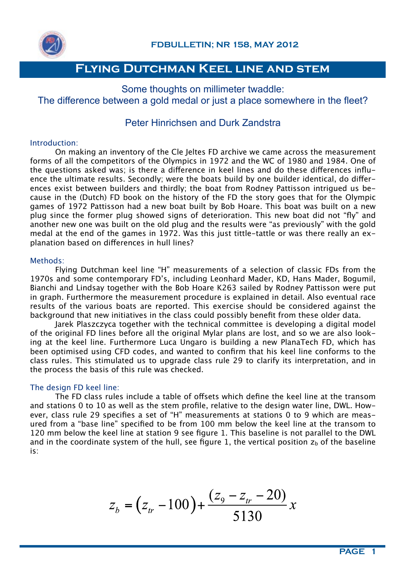

Some thoughts on millimeter twaddle: The difference between a gold medal or just a place somewhere in the fleet?

### Peter Hinrichsen and Durk Zandstra

### Introduction:

On making an inventory of the Cle Jeltes FD archive we came across the measurement forms of all the competitors of the Olympics in 1972 and the WC of 1980 and 1984. One of the questions asked was; is there a diference in keel lines and do these diferences influence the ultimate results. Secondly; were the boats build by one builder identical, do diferences exist between builders and thirdly; the boat from Rodney Pattisson intrigued us because in the (Dutch) FD book on the history of the FD the story goes that for the Olympic games of 1972 Pattisson had a new boat built by Bob Hoare. This boat was built on a new plug since the former plug showed signs of deterioration. This new boat did not "fly" and another new one was built on the old plug and the results were "as previously" with the gold medal at the end of the games in 1972. Was this just tittle-tattle or was there really an explanation based on diferences in hull lines?

### Methods:

Flying Dutchman keel line "H" measurements of a selection of classic FDs from the 1970s and some contemporary FD's, including Leonhard Mader, KD, Hans Mader, Bogumil, Bianchi and Lindsay together with the Bob Hoare K263 sailed by Rodney Pattisson were put in graph. Furthermore the measurement procedure is explained in detail. Also eventual race results of the various boats are reported. This exercise should be considered against the background that new initiatives in the class could possibly benefit from these older data.

Jarek Plaszczyca together with the technical committee is developing a digital model of the original FD lines before all the original Mylar plans are lost, and so we are also looking at the keel line. Furthermore Luca Ungaro is building a new PlanaTech FD, which has been optimised using CFD codes, and wanted to confirm that his keel line conforms to the class rules. This stimulated us to upgrade class rule 29 to clarify its interpretation, and in the process the basis of this rule was checked.

### The design FD keel line:

The FD class rules include a table of ofsets which define the keel line at the transom and stations 0 to 10 as well as the stem profile, relative to the design water line, DWL. However, class rule 29 specifies a set of "H" measurements at stations 0 to 9 which are measured from a "base line" specified to be from 100 mm below the keel line at the transom to 120 mm below the keel line at station 9 see figure 1. This baseline is not parallel to the DWL and in the coordinate system of the hull, see figure 1, the vertical position  $z<sub>b</sub>$  of the baseline is:

$$
z_b = (z_{tr} - 100) + \frac{(z_9 - z_{tr} - 20)}{5130}x
$$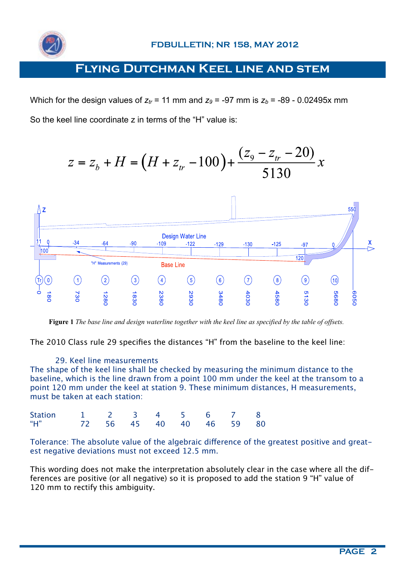

Which for the design values of  $z<sub>t</sub> = 11$  mm and  $z<sub>9</sub> = -97$  mm is  $z<sub>b</sub> = -89$  - 0.02495x mm So the keel line coordinate z in terms of the "H" value is:





**Figure 1** *The base line and design waterline together with the keel line as specified by the table of offsets.*

The 2010 Class rule 29 specifies the distances "H" from the baseline to the keel line:

### 29. Keel line measurements

The shape of the keel line shall be checked by measuring the minimum distance to the baseline, which is the line drawn from a point 100 mm under the keel at the transom to a point 120 mm under the keel at station 9. These minimum distances, H measurements, must be taken at each station:

| Station 1 2 3 4 5 6 7 8        |  |  |  |  |
|--------------------------------|--|--|--|--|
| "H"<br>72 56 45 40 40 46 59 80 |  |  |  |  |

Tolerance: The absolute value of the algebraic diference of the greatest positive and greatest negative deviations must not exceed 12.5 mm.

This wording does not make the interpretation absolutely clear in the case where all the differences are positive (or all negative) so it is proposed to add the station 9 "H" value of 120 mm to rectify this ambiguity.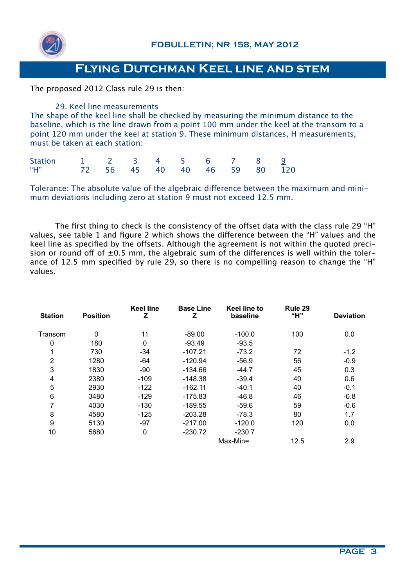

The proposed 2012 Class rule 29 is then:

29. Keel line measurements The shape of the keel line shall be checked by measuring the minimum distance to the baseline, which is the line drawn from a point 100 mm under the keel at the transom to a point 120 mm under the keel at station 9. These minimum distances, H measurements, must be taken at each station:

| Station 1 2 3 4 5 6 7 8 9       |  |  |  |  |  |
|---------------------------------|--|--|--|--|--|
| "H" 72 56 45 40 40 46 59 80 120 |  |  |  |  |  |

Tolerance: The absolute value of the algebraic diference between the maximum and minimum deviations including zero at station 9 must not exceed 12.5 mm.

The first thing to check is the consistency of the offset data with the class rule 29 "H" values, see table 1 and figure 2 which shows the diference between the "H" values and the keel line as specified by the offsets. Although the agreement is not within the quoted precision or round off of  $\pm 0.5$  mm, the algebraic sum of the differences is well within the tolerance of 12.5 mm specified by rule 29, so there is no compelling reason to change the "H" values.

| <b>Station</b> | <b>Position</b> | <b>Keel line</b><br>z | <b>Base Line</b><br>Ζ | Keel line to<br>baseline | Rule 29<br>"H" | <b>Deviation</b> |
|----------------|-----------------|-----------------------|-----------------------|--------------------------|----------------|------------------|
| Transom        | $\mathbf 0$     | 11                    | $-89.00$              | $-100.0$                 | 100            | 0.0              |
| 0              | 180             | $\mathbf 0$           | $-93.49$              | $-93.5$                  |                |                  |
| 1              | 730             | $-34$                 | $-107.21$             | $-73.2$                  | 72             | $-1.2$           |
| $\overline{2}$ | 1280            | -64                   | $-120.94$             | $-56.9$                  | 56             | $-0.9$           |
| 3              | 1830            | $-90$                 | -134.66               | $-44.7$                  | 45             | 0.3              |
| 4              | 2380            | $-109$                | -148.38               | $-39.4$                  | 40             | 0.6              |
| 5              | 2930            | $-122$                | $-162.11$             | $-40.1$                  | 40             | $-0.1$           |
| 6              | 3480            | $-129$                | $-175.83$             | $-46.8$                  | 46             | $-0.8$           |
| 7              | 4030            | $-130$                | $-189.55$             | $-59.6$                  | 59             | $-0.6$           |
| 8              | 4580            | $-125$                | $-203.28$             | $-78.3$                  | 80             | 1.7              |
| 9              | 5130            | $-97$                 | $-217.00$             | $-120.0$                 | 120            | 0.0              |
| 10             | 5680            | 0                     | $-230.72$             | $-230.7$                 |                |                  |
|                |                 |                       |                       | Max-Min=                 | 12.5           | 2.9              |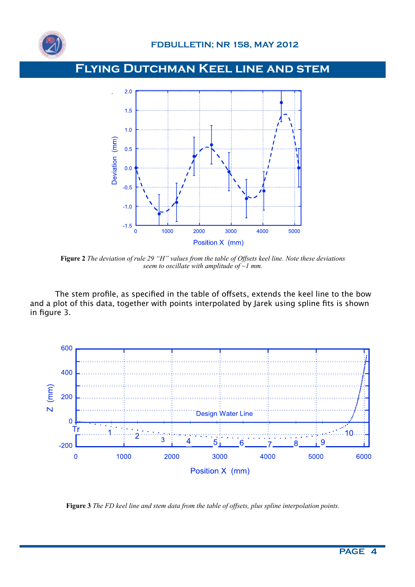



**Figure 2** *The deviation of rule 29 "H" values from the table of Offsets keel line. Note these deviations seem to oscillate with amplitude of ~1 mm.*

The stem profile, as specified in the table of offsets, extends the keel line to the bow and a plot of this data, together with points interpolated by Jarek using spline fits is shown in figure 3.



**Figure 3** *The FD keel line and stem data from the table of offsets, plus spline interpolation points.*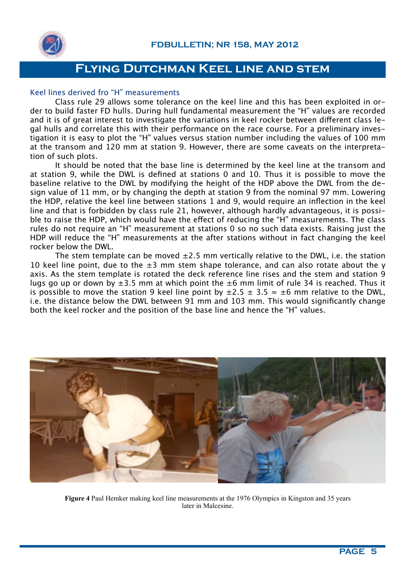

#### Keel lines derived fro "H" measurements

Class rule 29 allows some tolerance on the keel line and this has been exploited in order to build faster FD hulls. During hull fundamental measurement the "H" values are recorded and it is of great interest to investigate the variations in keel rocker between diferent class legal hulls and correlate this with their performance on the race course. For a preliminary investigation it is easy to plot the "H" values versus station number including the values of 100 mm at the transom and 120 mm at station 9. However, there are some caveats on the interpretation of such plots.

It should be noted that the base line is determined by the keel line at the transom and at station 9, while the DWL is defined at stations 0 and 10. Thus it is possible to move the baseline relative to the DWL by modifying the height of the HDP above the DWL from the design value of 11 mm, or by changing the depth at station 9 from the nominal 97 mm. Lowering the HDP, relative the keel line between stations 1 and 9, would require an inflection in the keel line and that is forbidden by class rule 21, however, although hardly advantageous, it is possible to raise the HDP, which would have the efect of reducing the "H" measurements. The class rules do not require an "H" measurement at stations 0 so no such data exists. Raising just the HDP will reduce the "H" measurements at the after stations without in fact changing the keel rocker below the DWL.

The stem template can be moved  $\pm 2.5$  mm vertically relative to the DWL, i.e. the station 10 keel line point, due to the  $\pm 3$  mm stem shape tolerance, and can also rotate about the y axis. As the stem template is rotated the deck reference line rises and the stem and station 9 lugs go up or down by  $\pm 3.5$  mm at which point the  $\pm 6$  mm limit of rule 34 is reached. Thus it is possible to move the station 9 keel line point by  $\pm 2.5 \pm 3.5 = \pm 6$  mm relative to the DWL, i.e. the distance below the DWL between 91 mm and 103 mm. This would significantly change both the keel rocker and the position of the base line and hence the "H" values.



**Figure 4** Paul Hemker making keel line measurements at the 1976 Olympics in Kingston and 35 years later in Malcesine.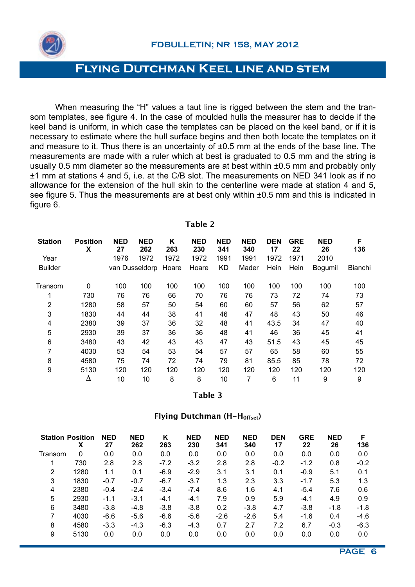

 When measuring the "H" values a taut line is rigged between the stem and the transom templates, see figure 4. In the case of moulded hulls the measurer has to decide if the keel band is uniform, in which case the templates can be placed on the keel band, or if it is necessary to estimate where the hull surface begins and then both locate the templates on it and measure to it. Thus there is an uncertainty of ±0.5 mm at the ends of the base line. The measurements are made with a ruler which at best is graduated to 0.5 mm and the string is usually 0.5 mm diameter so the measurements are at best within ±0.5 mm and probably only ±1 mm at stations 4 and 5, i.e. at the C/B slot. The measurements on NED 341 look as if no allowance for the extension of the hull skin to the centerline were made at station 4 and 5, see figure 5. Thus the measurements are at best only within  $\pm 0.5$  mm and this is indicated in figure 6.

**Table 2**

| <b>Station</b> | <b>Position</b><br>X | <b>NED</b><br>27 | <b>NED</b><br>262 | Κ<br>263 | <b>NED</b><br>230 | <b>NED</b><br>341 | <b>NED</b><br>340 | <b>DEN</b><br>17 | <b>GRE</b><br>22 | <b>NED</b><br>26 | F<br>136 |
|----------------|----------------------|------------------|-------------------|----------|-------------------|-------------------|-------------------|------------------|------------------|------------------|----------|
| Year           |                      | 1976             | 1972              | 1972     | 1972              | 1991              | 1991              | 1972             | 1971             | 2010             |          |
| <b>Builder</b> |                      |                  | van Dusseldorp    | Hoare    | Hoare             | <b>KD</b>         | Mader             | Hein             | Hein             | <b>Bogumil</b>   | Bianchi  |
| Transom        | $\mathbf{0}$         | 100              | 100               | 100      | 100               | 100               | 100               | 100              | 100              | 100              | 100      |
| 1              | 730                  | 76               | 76                | 66       | 70                | 76                | 76                | 73               | 72               | 74               | 73       |
| 2              | 1280                 | 58               | 57                | 50       | 54                | 60                | 60                | 57               | 56               | 62               | 57       |
| 3              | 1830                 | 44               | 44                | 38       | 41                | 46                | 47                | 48               | 43               | 50               | 46       |
| 4              | 2380                 | 39               | 37                | 36       | 32                | 48                | 41                | 43.5             | 34               | 47               | 40       |
| 5              | 2930                 | 39               | 37                | 36       | 36                | 48                | 41                | 46               | 36               | 45               | 41       |
| 6              | 3480                 | 43               | 42                | 43       | 43                | 47                | 43                | 51.5             | 43               | 45               | 45       |
| 7              | 4030                 | 53               | 54                | 53       | 54                | 57                | 57                | 65               | 58               | 60               | 55       |
| 8              | 4580                 | 75               | 74                | 72       | 74                | 79                | 81                | 85.5             | 85               | 78               | 72       |
| 9              | 5130                 | 120              | 120               | 120      | 120               | 120               | 120               | 120              | 120              | 120              | 120      |
|                | Δ                    | 10               | 10                | 8        | 8                 | 10                | 7                 | 6                | 11               | 9                | 9        |

**Table 3**

#### **Flying Dutchman (H-H0fset)**

|         | <b>Station Position</b><br>х | <b>NED</b><br>27 | <b>NED</b><br>262 | Κ<br>263 | <b>NED</b><br>230 | <b>NED</b><br>341 | <b>NED</b><br>340 | <b>DEN</b><br>17 | <b>GRE</b><br>22 | <b>NED</b><br>26 | F<br>136 |
|---------|------------------------------|------------------|-------------------|----------|-------------------|-------------------|-------------------|------------------|------------------|------------------|----------|
| Transom | 0                            | 0.0              | 0.0               | 0.0      | 0.0               | 0.0               | 0.0               | 0.0              | 0.0              | 0.0              | 0.0      |
|         | 730                          | 2.8              | 2.8               | $-7.2$   | $-3.2$            | 2.8               | 2.8               | $-0.2$           | $-1.2$           | 0.8              | $-0.2$   |
| 2       | 1280                         | 1.1              | 0.1               | $-6.9$   | $-2.9$            | 3.1               | 3.1               | 0.1              | $-0.9$           | 5.1              | 0.1      |
| 3       | 1830                         | $-0.7$           | $-0.7$            | $-6.7$   | $-3.7$            | 1.3               | 2.3               | 3.3              | $-1.7$           | 5.3              | 1.3      |
| 4       | 2380                         | $-0.4$           | $-2.4$            | $-3.4$   | $-7.4$            | 8.6               | 1.6               | 4.1              | $-5.4$           | 7.6              | 0.6      |
| 5       | 2930                         | $-1.1$           | $-3.1$            | $-4.1$   | $-4.1$            | 7.9               | 0.9               | 5.9              | $-4.1$           | 4.9              | 0.9      |
| 6       | 3480                         | $-3.8$           | $-4.8$            | $-3.8$   | $-3.8$            | 0.2               | $-3.8$            | 4.7              | $-3.8$           | $-1.8$           | $-1.8$   |
| 7       | 4030                         | $-6.6$           | $-5.6$            | $-6.6$   | $-5.6$            | $-2.6$            | $-2.6$            | 5.4              | $-1.6$           | 0.4              | $-4.6$   |
| 8       | 4580                         | $-3.3$           | $-4.3$            | $-6.3$   | $-4.3$            | 0.7               | 2.7               | 7.2              | 6.7              | $-0.3$           | $-6.3$   |
| 9       | 5130                         | 0.0              | 0.0               | 0.0      | 0.0               | 0.0               | 0.0               | 0.0              | 0.0              | 0.0              | 0.0      |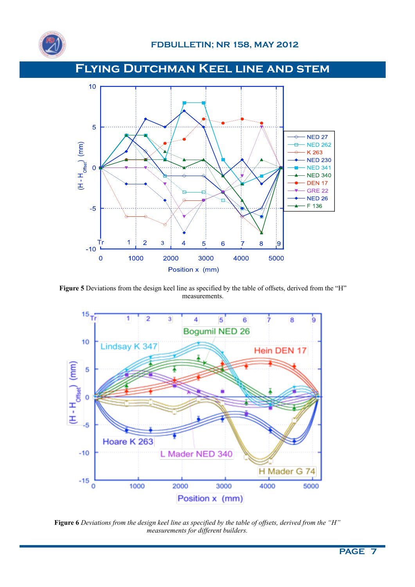



Figure 5 Deviations from the design keel line as specified by the table of offsets, derived from the "H" measurements.



**Figure 6** *Deviations from the design keel line as specified by the table of offsets, derived from the "H" measurements for different builders.*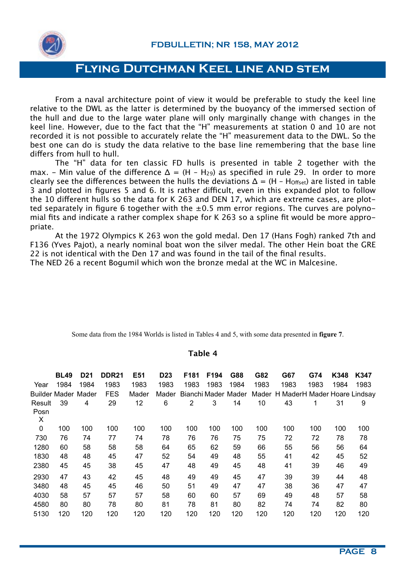

From a naval architecture point of view it would be preferable to study the keel line relative to the DWL as the latter is determined by the buoyancy of the immersed section of the hull and due to the large water plane will only marginally change with changes in the keel line. However, due to the fact that the "H" measurements at station 0 and 10 are not recorded it is not possible to accurately relate the "H" measurement data to the DWL. So the best one can do is study the data relative to the base line remembering that the base line difers from hull to hull.

The "H" data for ten classic FD hulls is presented in table 2 together with the max. - Min value of the difference  $\Delta = (H - H_{29})$  as specified in rule 29. In order to more clearly see the differences between the hulls the deviations  $\Delta = (H - H_{\text{Offset}})$  are listed in table 3 and plotted in figures 5 and 6. It is rather difficult, even in this expanded plot to follow the 10 diferent hulls so the data for K 263 and DEN 17, which are extreme cases, are plotted separately in figure 6 together with the  $\pm 0.5$  mm error regions. The curves are polynomial fits and indicate a rather complex shape for K 263 so a spline fit would be more appropriate.

At the 1972 Olympics K 263 won the gold medal. Den 17 (Hans Fogh) ranked 7th and F136 (Yves Pajot), a nearly nominal boat won the silver medal. The other Hein boat the GRE 22 is not identical with the Den 17 and was found in the tail of the final results.

The NED 26 a recent Bogumil which won the bronze medal at the WC in Malcesine.

| Some data from the 1984 Worlds is listed in Tables 4 and 5, with some data presented in figure 7. |  |  |  |  |
|---------------------------------------------------------------------------------------------------|--|--|--|--|
|---------------------------------------------------------------------------------------------------|--|--|--|--|

#### **Table 4**

|             | <b>BL49</b>                | D <sub>21</sub> | <b>DDR21</b> | E51   | D <sub>23</sub> | F <sub>181</sub>    | F194 | G88  | G82   | G67                          | G74  | K348 | K347 |
|-------------|----------------------------|-----------------|--------------|-------|-----------------|---------------------|------|------|-------|------------------------------|------|------|------|
| Year        | 1984                       | 1984            | 1983         | 1983  | 1983            | 1983                | 1983 | 1984 | 1983  | 1983                         | 1983 | 1984 | 1983 |
|             | <b>Builder Mader Mader</b> |                 | <b>FES</b>   | Mader | Mader           | Bianchi Mader Mader |      |      | Mader | H MaderH Mader Hoare Lindsay |      |      |      |
| Result      | 39                         | 4               | 29           | 12    | 6               | 2                   | 3    | 14   | 10    | 43                           | 1    | 31   | 9    |
| Posn        |                            |                 |              |       |                 |                     |      |      |       |                              |      |      |      |
| Χ           |                            |                 |              |       |                 |                     |      |      |       |                              |      |      |      |
| $\mathbf 0$ | 100                        | 100             | 100          | 100   | 100             | 100                 | 100  | 100  | 100   | 100                          | 100  | 100  | 100  |
| 730         | 76                         | 74              | 77           | 74    | 78              | 76                  | 76   | 75   | 75    | 72                           | 72   | 78   | 78   |
| 1280        | 60                         | 58              | 58           | 58    | 64              | 65                  | 62   | 59   | 66    | 55                           | 56   | 56   | 64   |
| 1830        | 48                         | 48              | 45           | 47    | 52              | 54                  | 49   | 48   | 55    | 41                           | 42   | 45   | 52   |
| 2380        | 45                         | 45              | 38           | 45    | 47              | 48                  | 49   | 45   | 48    | 41                           | 39   | 46   | 49   |
| 2930        | 47                         | 43              | 42           | 45    | 48              | 49                  | 49   | 45   | 47    | 39                           | 39   | 44   | 48   |
| 3480        | 48                         | 45              | 45           | 46    | 50              | 51                  | 49   | 47   | 47    | 38                           | 36   | 47   | 47   |
| 4030        | 58                         | 57              | 57           | 57    | 58              | 60                  | 60   | 57   | 69    | 49                           | 48   | 57   | 58   |
| 4580        | 80                         | 80              | 78           | 80    | 81              | 78                  | 81   | 80   | 82    | 74                           | 74   | 82   | 80   |
| 5130        | 120                        | 120             | 120          | 120   | 120             | 120                 | 120  | 120  | 120   | 120                          | 120  | 120  | 120  |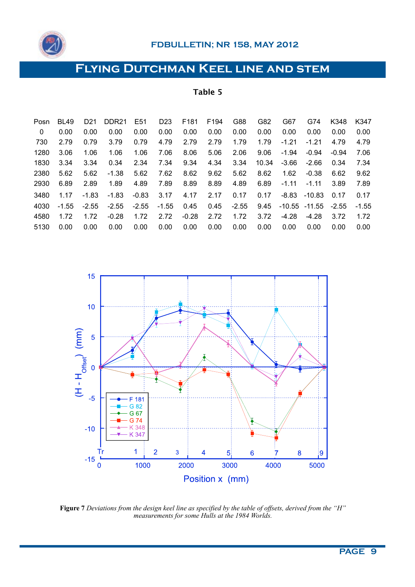

| Posn | <b>BL49</b> | D <sub>21</sub> | DDR <sub>21</sub> | E <sub>51</sub> | D <sub>23</sub> | F <sub>181</sub> | F194 | G88     | G82   | G67     | G74              | K348    | K347    |
|------|-------------|-----------------|-------------------|-----------------|-----------------|------------------|------|---------|-------|---------|------------------|---------|---------|
| 0    | 0.00        | 0.00            | 0.00              | 0.00            | 0.00            | 0.00             | 0.00 | 0.00    | 0.00  | 0.00    | 0.00             | 0.00    | 0.00    |
| 730  | 2.79        | 0.79            | 3.79              | 0.79            | 4.79            | 2.79             | 2.79 | 1.79    | 1.79  | $-1.21$ | $-1.21$          | 4.79    | 4.79    |
| 1280 | 3.06        | 1.06            | 1.06              | 1.06            | 7.06            | 8.06             | 5.06 | 2.06    | 9.06  | $-1.94$ | $-0.94$          | $-0.94$ | 7.06    |
| 1830 | 3.34        | 3.34            | 0.34              | 2.34            | 7.34            | 9.34             | 4.34 | 3.34    | 10.34 | $-3.66$ | $-2.66$          | 0.34    | 7.34    |
| 2380 | 5.62        | 5.62            | $-1.38$           | 5.62            | 7.62            | 8.62             | 9.62 | 5.62    | 8.62  | 1.62    | $-0.38$          | 6.62    | 9.62    |
| 2930 | 6.89        | 2.89            | 1.89              | 4.89            | 7.89            | 8.89             | 8.89 | 4.89    | 6.89  | $-1.11$ | $-1.11$          | 3.89    | 7.89    |
| 3480 | 1.17        | $-1.83$         | $-1.83$           | $-0.83$         | 3.17            | 4.17             | 2.17 | 0.17    | 0.17  | $-8.83$ | $-10.83$         | 0.17    | 0.17    |
| 4030 | $-1.55$     | $-2.55$         | $-2.55$           | $-2.55$         | $-1.55$         | 0.45             | 0.45 | $-2.55$ | 9.45  |         | $-10.55 - 11.55$ | $-2.55$ | $-1.55$ |
| 4580 | 1.72        | 1.72            | $-0.28$           | 1.72            | 2.72            | $-0.28$          | 2.72 | 1.72    | 3.72  | $-4.28$ | $-4.28$          | 3.72    | 1.72    |
| 5130 | 0.00        | 0.00            | 0.00              | 0.00            | 0.00            | 0.00             | 0.00 | 0.00    | 0.00  | 0.00    | 0.00             | 0.00    | 0.00    |

15  $10$  $(H - H_{\text{offsel}})$  (mm)  $\overline{5}$  $\overline{0}$  $-5$ 181 G 82 G 67 G 74 K 348  $-10$ K 347  $\overline{2}$  $\mathbf{1}$  $\overline{3}$  $5<sup>1</sup>$ Tr  $\overline{\mathbf{4}}$  $6\phantom{1}6$  $\overline{7}$ 8 ¦9  $-15\frac{1}{0}$ 1000 3000 4000 2000 5000 Position x (mm)

**Figure 7** *Deviations from the design keel line as specified by the table of offsets, derived from the "H" measurements for some Hulls at the 1984 Worlds.*